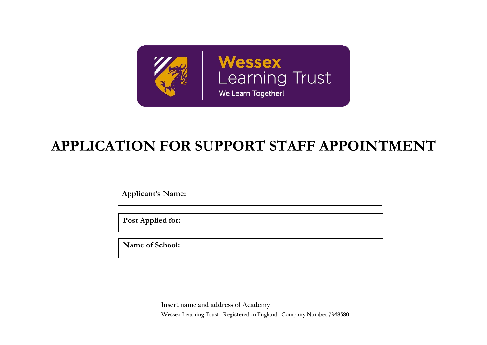

# **APPLICATION FOR SUPPORT STAFF APPOINTMENT**

**Applicant's Name:**

**Post Applied for:**

**Name of School:** 

**Insert name and address of Academy Wessex Learning Trust. Registered in England. Company Number 7348580.**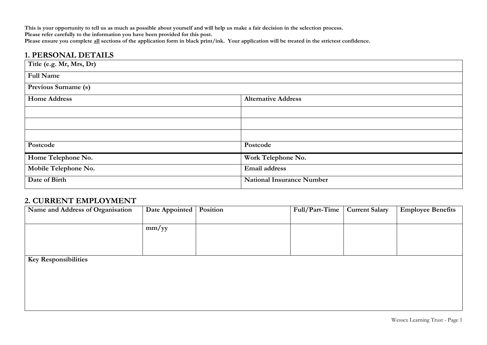**This is your opportunity to tell us as much as possible about yourself and will help us make a fair decision in the selection process. Please refer carefully to the information you have been provided for this post.** Please ensure you complete <u>all</u> sections of the application form in black print/ink. Your application will be treated in the strictest confidence.

## **1. PERSONAL DETAILS**

| Title (e.g. Mr, Mrs, Dr) |                                  |
|--------------------------|----------------------------------|
| <b>Full Name</b>         |                                  |
| Previous Surname (s)     |                                  |
| <b>Home Address</b>      | <b>Alternative Address</b>       |
|                          |                                  |
|                          |                                  |
|                          |                                  |
| Postcode                 | Postcode                         |
| Home Telephone No.       | Work Telephone No.               |
| Mobile Telephone No.     | <b>Email address</b>             |
| Date of Birth            | <b>National Insurance Number</b> |

#### **2. CURRENT EMPLOYMENT**

| Name and Address of Organisation | Date Appointed   Position | Full/Part-Time | <b>Current Salary</b> | <b>Employee Benefits</b> |
|----------------------------------|---------------------------|----------------|-----------------------|--------------------------|
|                                  |                           |                |                       |                          |
|                                  | mm/yy                     |                |                       |                          |
|                                  |                           |                |                       |                          |
|                                  |                           |                |                       |                          |
| <b>Key Responsibilities</b>      |                           |                |                       |                          |
|                                  |                           |                |                       |                          |
|                                  |                           |                |                       |                          |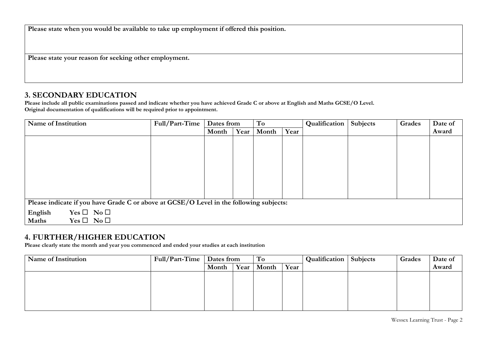**Please state when you would be available to take up employment if offered this position.** 

**Please state your reason for seeking other employment.** 

#### **3. SECONDARY EDUCATION**

**Please include all public examinations passed and indicate whether you have achieved Grade C or above at English and Maths GCSE/O Level. Original documentation of qualifications will be required prior to appointment.**

| <b>Name of Institution</b>                                                              | Full/Part-Time | Dates from |      | To    |      | Qualification | Subjects | Grades | Date of |
|-----------------------------------------------------------------------------------------|----------------|------------|------|-------|------|---------------|----------|--------|---------|
|                                                                                         |                | Month      | Year | Month | Year |               |          |        | Award   |
|                                                                                         |                |            |      |       |      |               |          |        |         |
|                                                                                         |                |            |      |       |      |               |          |        |         |
|                                                                                         |                |            |      |       |      |               |          |        |         |
|                                                                                         |                |            |      |       |      |               |          |        |         |
|                                                                                         |                |            |      |       |      |               |          |        |         |
|                                                                                         |                |            |      |       |      |               |          |        |         |
|                                                                                         |                |            |      |       |      |               |          |        |         |
|                                                                                         |                |            |      |       |      |               |          |        |         |
| Please indicate if you have Grade C or above at GCSE/O Level in the following subjects: |                |            |      |       |      |               |          |        |         |
| $Yes \Box No \Box$<br>English                                                           |                |            |      |       |      |               |          |        |         |
| $Yes \Box No \Box$<br>Maths                                                             |                |            |      |       |      |               |          |        |         |

# **4. FURTHER/HIGHER EDUCATION**

**Please clearly state the month and year you commenced and ended your studies at each institution**

| Name of Institution | Full/Part-Time | Dates from |      | To    |      | Qualification | <b>Subjects</b> | Grades | Date of |
|---------------------|----------------|------------|------|-------|------|---------------|-----------------|--------|---------|
|                     |                | Month      | Year | Month | Year |               |                 |        | Award   |
|                     |                |            |      |       |      |               |                 |        |         |
|                     |                |            |      |       |      |               |                 |        |         |
|                     |                |            |      |       |      |               |                 |        |         |
|                     |                |            |      |       |      |               |                 |        |         |
|                     |                |            |      |       |      |               |                 |        |         |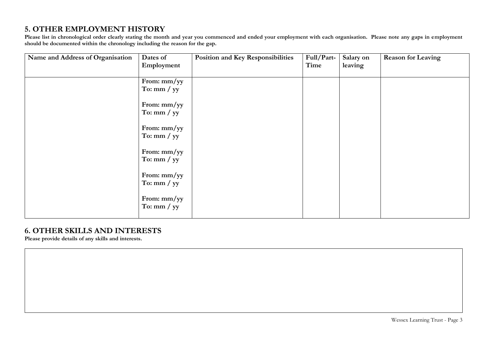# **5. OTHER EMPLOYMENT HISTORY**

**Please list in chronological order clearly stating the month and year you commenced and ended your employment with each organisation. Please note any gaps in employment should be documented within the chronology including the reason for the gap.** 

| Name and Address of Organisation | Dates of<br>Employment       | <b>Position and Key Responsibilities</b> | Full/Part-<br>Time | Salary on<br>leaving | <b>Reason for Leaving</b> |
|----------------------------------|------------------------------|------------------------------------------|--------------------|----------------------|---------------------------|
|                                  | From: mm/yy<br>To: $mm / yy$ |                                          |                    |                      |                           |
|                                  | From: mm/yy<br>To: $mm / yy$ |                                          |                    |                      |                           |
|                                  | From: mm/yy<br>To: $mm / yy$ |                                          |                    |                      |                           |
|                                  | From: mm/yy<br>To: $mm / yy$ |                                          |                    |                      |                           |
|                                  | From: mm/yy<br>To: $mm / yy$ |                                          |                    |                      |                           |
|                                  | From: mm/yy<br>To: $mm / yy$ |                                          |                    |                      |                           |

#### **6. OTHER SKILLS AND INTERESTS**

**Please provide details of any skills and interests.**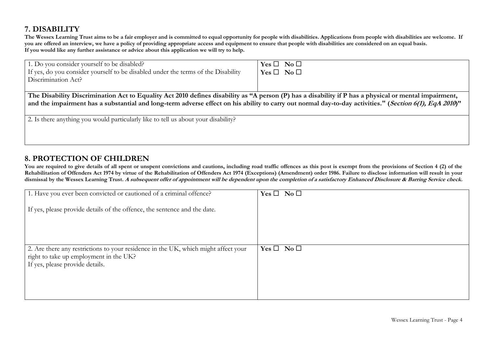# **7. DISABILITY**

**The Wessex Learning Trust aims to be a fair employer and is committed to equal opportunity for people with disabilities. Applications from people with disabilities are welcome. If**  you are offered an interview, we have a policy of providing appropriate access and equipment to ensure that people with disabilities are considered on an equal basis. **If you would like any further assistance or advice about this application we will try to help.**

| 1. Do you consider yourself to be disabled?                                                                                                            | $Yes \Box No \Box$ |  |  |  |  |  |
|--------------------------------------------------------------------------------------------------------------------------------------------------------|--------------------|--|--|--|--|--|
| If yes, do you consider yourself to be disabled under the terms of the Disability                                                                      | $Yes \Box No \Box$ |  |  |  |  |  |
| Discrimination Act?                                                                                                                                    |                    |  |  |  |  |  |
|                                                                                                                                                        |                    |  |  |  |  |  |
| The Disability Discrimination Act to Equality Act 2010 defines disability as "A person (P) has a disability if P has a physical or mental impairment,  |                    |  |  |  |  |  |
| and the impairment has a substantial and long-term adverse effect on his ability to carry out normal day-to-day activities." (Section 6(1), EqA 2010)" |                    |  |  |  |  |  |
|                                                                                                                                                        |                    |  |  |  |  |  |
| 2. Is there anything you would particularly like to tell us about your disability?                                                                     |                    |  |  |  |  |  |
|                                                                                                                                                        |                    |  |  |  |  |  |
|                                                                                                                                                        |                    |  |  |  |  |  |

# **8. PROTECTION OF CHILDREN**

You are required to give details of all spent or unspent convictions and cautions, including road traffic offences as this post is exempt from the provisions of Section 4 (2) of the Rehabilitation of Offenders Act 1974 by virtue of the Rehabilitation of Offenders Act 1974 (Exceptions) (Amendment) order 1986. Failure to disclose information will result in your **dismissal by the Wessex Learning Trust. A subsequent offer of appointment will be dependent upon the completion of a satisfactory Enhanced Disclosure & Barring Service check.**

| 1. Have you ever been convicted or cautioned of a criminal offence?                                                          | $Yes \Box No \Box$ |
|------------------------------------------------------------------------------------------------------------------------------|--------------------|
| If yes, please provide details of the offence, the sentence and the date.                                                    |                    |
|                                                                                                                              |                    |
|                                                                                                                              |                    |
| 2. Are there any restrictions to your residence in the UK, which might affect your<br>right to take up employment in the UK? | $Yes \Box No \Box$ |
|                                                                                                                              |                    |
| If yes, please provide details.                                                                                              |                    |
|                                                                                                                              |                    |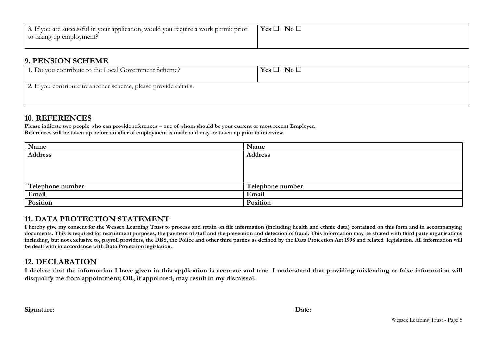| 3. If you are successful in your application, would you require a work permit prior | $Yes \Box$<br>$\overline{\text{No}}$ $\Box$ |
|-------------------------------------------------------------------------------------|---------------------------------------------|
| to taking up employment?                                                            |                                             |
|                                                                                     |                                             |

#### **9. PENSION SCHEME**

| 1. Do you contribute to the Local Government Scheme?            | $Yes \Box No \Box$ |
|-----------------------------------------------------------------|--------------------|
| 2. If you contribute to another scheme, please provide details. |                    |

## **10. REFERENCES**

**Please indicate two people who can provide references – one of whom should be your current or most recent Employer. References will be taken up before an offer of employment is made and may be taken up prior to interview.**

| Name             | Name             |
|------------------|------------------|
| Address          | <b>Address</b>   |
|                  |                  |
|                  |                  |
|                  |                  |
| Telephone number | Telephone number |
| Email            | Email            |
| Position         | Position         |

# **11. DATA PROTECTION STATEMENT**

**I hereby give my consent for the Wessex Learning Trust to process and retain on file information (including health and ethnic data) contained on this form and in accompanying**  documents. This is required for recruitment purposes, the payment of staff and the prevention and detection of fraud. This information may be shared with third party organisations **including, but not exclusive to, payroll providers, the DBS, the Police and other third parties as defined by the Data Protection Act 1998 and related legislation. All information will be dealt with in accordance with Data Protection legislation.** 

# **12. DECLARATION**

**I declare that the information I have given in this application is accurate and true. I understand that providing misleading or false information will disqualify me from appointment; OR, if appointed, may result in my dismissal.**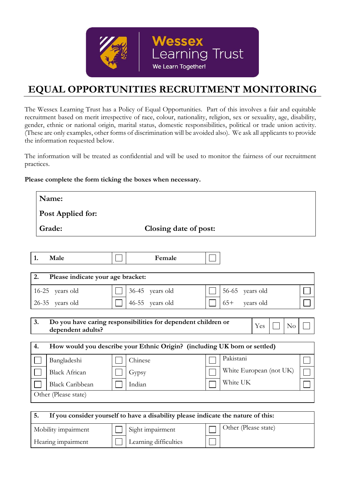

# **EQUAL OPPORTUNITIES RECRUITMENT MONITORING**

The Wessex Learning Trust has a Policy of Equal Opportunities. Part of this involves a fair and equitable recruitment based on merit irrespective of race, colour, nationality, religion, sex or sexuality, age, disability, gender, ethnic or national origin, marital status, domestic responsibilities, political or trade union activity. (These are only examples, other forms of discrimination will be avoided also). We ask all applicants to provide the information requested below.

The information will be treated as confidential and will be used to monitor the fairness of our recruitment practices.

#### **Please complete the form ticking the boxes when necessary.**

Hearing impairment  $|\Box|$  Learning difficulties

| Name:                                                         |                                                                                   |                                                  |
|---------------------------------------------------------------|-----------------------------------------------------------------------------------|--------------------------------------------------|
| Post Applied for:                                             |                                                                                   |                                                  |
| Grade:                                                        | Closing date of post:                                                             |                                                  |
|                                                               |                                                                                   |                                                  |
| 1.<br>Male                                                    | Female                                                                            |                                                  |
| 2.<br>Please indicate your age bracket:                       |                                                                                   |                                                  |
| 16-25 years old                                               | 36-45 years old                                                                   | $56 - 65$<br>years old                           |
| 26-35 years old                                               | 46-55 years old                                                                   | $65+$<br>years old                               |
| 3.<br>dependent adults?                                       | Do you have caring responsibilities for dependent children or                     | Yes<br>No                                        |
| 4.                                                            | How would you describe your Ethnic Origin? (including UK born or settled)         |                                                  |
| Bangladeshi<br><b>Black African</b><br><b>Black Caribbean</b> | Chinese<br>Gypsy<br>Indian                                                        | Pakistani<br>White European (not UK)<br>White UK |
| Other (Please state)                                          |                                                                                   |                                                  |
| 5.                                                            | If you consider yourself to have a disability please indicate the nature of this: |                                                  |
| Mobility impairment                                           | Sight impairment                                                                  | Other (Please state)                             |